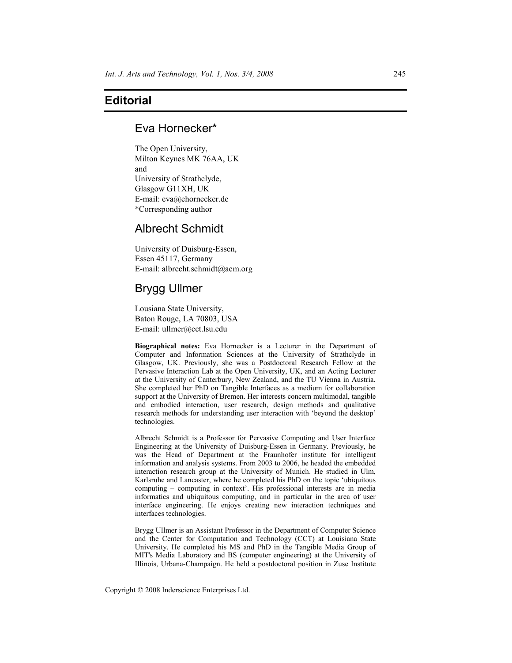## **Editorial**

## Eva Hornecker\*

The Open University, Milton Keynes MK 76AA, UK and University of Strathclyde, Glasgow G11XH, UK E-mail: eva@ehornecker.de \*Corresponding author

## Albrecht Schmidt

University of Duisburg-Essen, Essen 45117, Germany E-mail: albrecht.schmidt@acm.org

# Brygg Ullmer

Lousiana State University, Baton Rouge, LA 70803, USA E-mail: ullmer@cct.lsu.edu

**Biographical notes:** Eva Hornecker is a Lecturer in the Department of Computer and Information Sciences at the University of Strathclyde in Glasgow, UK. Previously, she was a Postdoctoral Research Fellow at the Pervasive Interaction Lab at the Open University, UK, and an Acting Lecturer at the University of Canterbury, New Zealand, and the TU Vienna in Austria. She completed her PhD on Tangible Interfaces as a medium for collaboration support at the University of Bremen. Her interests concern multimodal, tangible and embodied interaction, user research, design methods and qualitative research methods for understanding user interaction with 'beyond the desktop' technologies.

Albrecht Schmidt is a Professor for Pervasive Computing and User Interface Engineering at the University of Duisburg-Essen in Germany. Previously, he was the Head of Department at the Fraunhofer institute for intelligent information and analysis systems. From 2003 to 2006, he headed the embedded interaction research group at the University of Munich. He studied in Ulm, Karlsruhe and Lancaster, where he completed his PhD on the topic 'ubiquitous computing – computing in context'. His professional interests are in media informatics and ubiquitous computing, and in particular in the area of user interface engineering. He enjoys creating new interaction techniques and interfaces technologies.

Brygg Ullmer is an Assistant Professor in the Department of Computer Science and the Center for Computation and Technology (CCT) at Louisiana State University. He completed his MS and PhD in the Tangible Media Group of MIT's Media Laboratory and BS (computer engineering) at the University of Illinois, Urbana-Champaign. He held a postdoctoral position in Zuse Institute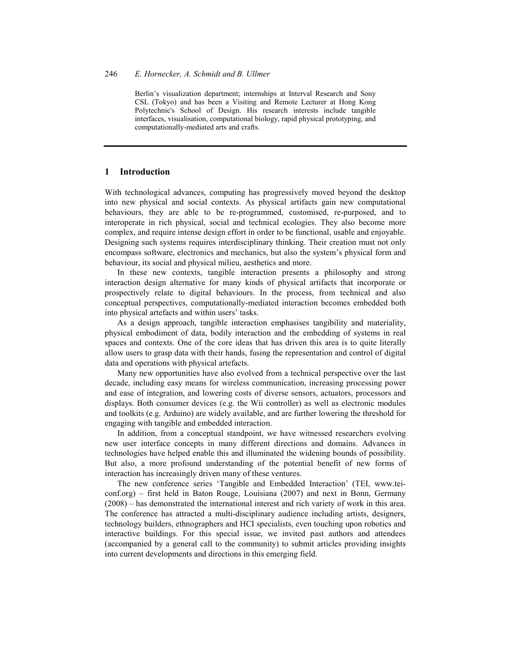Berlin's visualization department; internships at Interval Research and Sony CSL (Tokyo) and has been a Visiting and Remote Lecturer at Hong Kong Polytechnic's School of Design. His research interests include tangible interfaces, visualisation, computational biology, rapid physical prototyping, and computationally-mediated arts and crafts.

### **1 Introduction**

With technological advances, computing has progressively moved beyond the desktop into new physical and social contexts. As physical artifacts gain new computational behaviours, they are able to be re-programmed, customised, re-purposed, and to interoperate in rich physical, social and technical ecologies. They also become more complex, and require intense design effort in order to be functional, usable and enjoyable. Designing such systems requires interdisciplinary thinking. Their creation must not only encompass software, electronics and mechanics, but also the system's physical form and behaviour, its social and physical milieu, aesthetics and more.

In these new contexts, tangible interaction presents a philosophy and strong interaction design alternative for many kinds of physical artifacts that incorporate or prospectively relate to digital behaviours. In the process, from technical and also conceptual perspectives, computationally-mediated interaction becomes embedded both into physical artefacts and within users' tasks.

As a design approach, tangible interaction emphasises tangibility and materiality, physical embodiment of data, bodily interaction and the embedding of systems in real spaces and contexts. One of the core ideas that has driven this area is to quite literally allow users to grasp data with their hands, fusing the representation and control of digital data and operations with physical artefacts.

Many new opportunities have also evolved from a technical perspective over the last decade, including easy means for wireless communication, increasing processing power and ease of integration, and lowering costs of diverse sensors, actuators, processors and displays. Both consumer devices (e.g. the Wii controller) as well as electronic modules and toolkits (e.g. Arduino) are widely available, and are further lowering the threshold for engaging with tangible and embedded interaction.

In addition, from a conceptual standpoint, we have witnessed researchers evolving new user interface concepts in many different directions and domains. Advances in technologies have helped enable this and illuminated the widening bounds of possibility. But also, a more profound understanding of the potential benefit of new forms of interaction has increasingly driven many of these ventures.

The new conference series 'Tangible and Embedded Interaction' (TEI, www.teiconf.org) – first held in Baton Rouge, Louisiana (2007) and next in Bonn, Germany (2008) – has demonstrated the international interest and rich variety of work in this area. The conference has attracted a multi-disciplinary audience including artists, designers, technology builders, ethnographers and HCI specialists, even touching upon robotics and interactive buildings. For this special issue, we invited past authors and attendees (accompanied by a general call to the community) to submit articles providing insights into current developments and directions in this emerging field.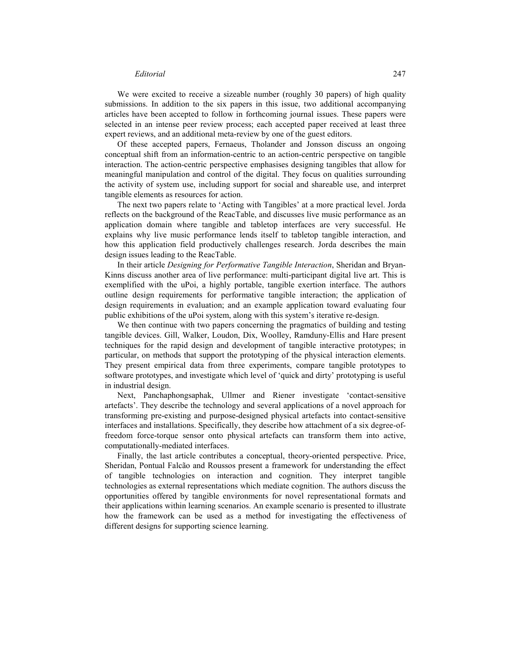### *Editorial* 247

We were excited to receive a sizeable number (roughly 30 papers) of high quality submissions. In addition to the six papers in this issue, two additional accompanying articles have been accepted to follow in forthcoming journal issues. These papers were selected in an intense peer review process; each accepted paper received at least three expert reviews, and an additional meta-review by one of the guest editors.

Of these accepted papers, Fernaeus, Tholander and Jonsson discuss an ongoing conceptual shift from an information-centric to an action-centric perspective on tangible interaction. The action-centric perspective emphasises designing tangibles that allow for meaningful manipulation and control of the digital. They focus on qualities surrounding the activity of system use, including support for social and shareable use, and interpret tangible elements as resources for action.

The next two papers relate to 'Acting with Tangibles' at a more practical level. Jorda reflects on the background of the ReacTable, and discusses live music performance as an application domain where tangible and tabletop interfaces are very successful. He explains why live music performance lends itself to tabletop tangible interaction, and how this application field productively challenges research. Jorda describes the main design issues leading to the ReacTable.

In their article *Designing for Performative Tangible Interaction*, Sheridan and Bryan-Kinns discuss another area of live performance: multi-participant digital live art. This is exemplified with the uPoi, a highly portable, tangible exertion interface. The authors outline design requirements for performative tangible interaction; the application of design requirements in evaluation; and an example application toward evaluating four public exhibitions of the uPoi system, along with this system's iterative re-design.

We then continue with two papers concerning the pragmatics of building and testing tangible devices. Gill, Walker, Loudon, Dix, Woolley, Ramduny-Ellis and Hare present techniques for the rapid design and development of tangible interactive prototypes; in particular, on methods that support the prototyping of the physical interaction elements. They present empirical data from three experiments, compare tangible prototypes to software prototypes, and investigate which level of 'quick and dirty' prototyping is useful in industrial design.

Next, Panchaphongsaphak, Ullmer and Riener investigate 'contact-sensitive artefacts'. They describe the technology and several applications of a novel approach for transforming pre-existing and purpose-designed physical artefacts into contact-sensitive interfaces and installations. Specifically, they describe how attachment of a six degree-offreedom force-torque sensor onto physical artefacts can transform them into active, computationally-mediated interfaces.

Finally, the last article contributes a conceptual, theory-oriented perspective. Price, Sheridan, Pontual Falcão and Roussos present a framework for understanding the effect of tangible technologies on interaction and cognition. They interpret tangible technologies as external representations which mediate cognition. The authors discuss the opportunities offered by tangible environments for novel representational formats and their applications within learning scenarios. An example scenario is presented to illustrate how the framework can be used as a method for investigating the effectiveness of different designs for supporting science learning.